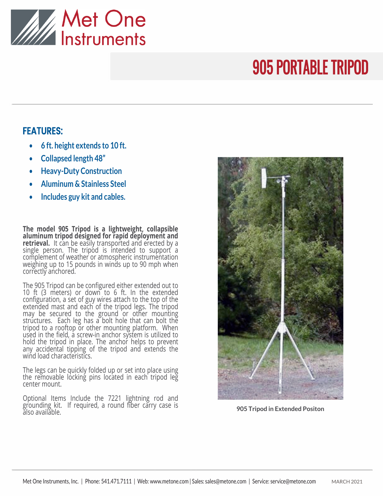

## 905 PORTABLE TRIPOD

## FEATURES:

- **6 ft. height extends to 10 ft.**
- **Collapsed length 48"**
- **Heavy-Duty Construction**
- **Aluminum & Stainless Steel**
- **Includes guy kit and cables.**

**The model 905 Tripod is a lightweight, collapsible aluminum tripod designed for rapid deployment and retrieval.** It can be easily transported and erected by a single person. The tripod is intended to support a complement of weather or atmospheric instrumentation weighing up to 15 pounds in winds up to 90 mph when correctly anchored.

The 905 Tripod can be configured either extended out to 10 ft (3 meters) or down to 6 ft. In the extended configuration, a set of guy wires attach to the top of the extended mast and each of the tripod legs. The tripod may be secured to the ground or other mounting structures. Each leg has a bolt hole that can bolt the tripod to a rooftop or other mounting platform. When used in the field, a screw-in anchor system is utilized to hold the tripod in place. The anchor helps to prevent any accidental tipping of the tripod and extends the wind load characteristics.

The legs can be quickly folded up or set into place using the removable locking pins located in each tripod leg center mount.

Optional Items Include the 7221 lightning rod and grounding kit. If required, a round fiber carry case is also available.



**905 Tripod in Extended Positon**